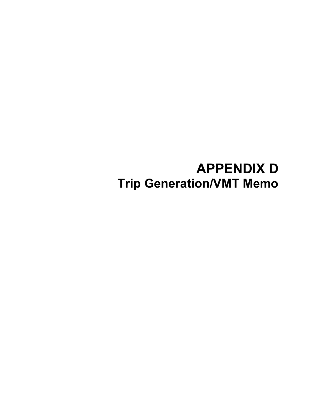# **APPENDIX D Trip Generation/VMT Memo**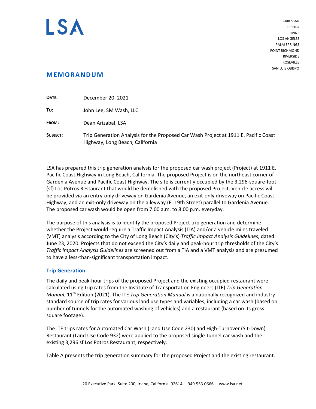

CARLSBAD FRESNO IRVINE LOS ANGELES PALM SPRINGS POINT RICHMOND RIVERSIDE **ROSEVILLE** SAN LUIS OBISPO

# **MEMORANDUM**

| DATE:    | December 20, 2021                                                                                                      |
|----------|------------------------------------------------------------------------------------------------------------------------|
| To:      | John Lee, SM Wash, LLC                                                                                                 |
| FROM:    | Dean Arizabal, LSA                                                                                                     |
| SUBJECT: | Trip Generation Analysis for the Proposed Car Wash Project at 1911 E. Pacific Coast<br>Highway, Long Beach, California |

LSA has prepared this trip generation analysis for the proposed car wash project (Project) at 1911 E. Pacific Coast Highway in Long Beach, California. The proposed Project is on the northeast corner of Gardenia Avenue and Pacific Coast Highway. The site is currently occupied by the 3,296‐square‐foot (sf) Los Potros Restaurant that would be demolished with the proposed Project. Vehicle access will be provided via an entry‐only driveway on Gardenia Avenue, an exit‐only driveway on Pacific Coast Highway, and an exit‐only driveway on the alleyway (E. 19th Street) parallel to Gardenia Avenue. The proposed car wash would be open from 7:00 a.m. to 8:00 p.m. everyday.

The purpose of this analysis is to identify the proposed Project trip generation and determine whether the Project would require a Traffic Impact Analysis (TIA) and/or a vehicle miles traveled (VMT) analysis according to the City of Long Beach (City's) *Traffic Impact Analysis Guidelines*, dated June 23, 2020. Projects that do not exceed the City's daily and peak‐hour trip thresholds of the City's *Traffic Impact Analysis Guidelines* are screened out from a TIA and a VMT analysis and are presumed to have a less‐than‐significant transportation impact.

# **Trip Generation**

The daily and peak‐hour trips of the proposed Project and the existing occupied restaurant were calculated using trip rates from the Institute of Transportation Engineers (ITE) *Trip Generation Manual*, 11th Edition (2021). The ITE *Trip Generation Manual* is a nationally recognized and industry standard source of trip rates for various land use types and variables, including a car wash (based on number of tunnels for the automated washing of vehicles) and a restaurant (based on its gross square footage).

The ITE trips rates for Automated Car Wash (Land Use Code 230) and High‐Turnover (Sit‐Down) Restaurant (Land Use Code 932) were applied to the proposed single‐tunnel car wash and the existing 3,296 sf Los Potros Restaurant, respectively.

Table A presents the trip generation summary for the proposed Project and the existing restaurant.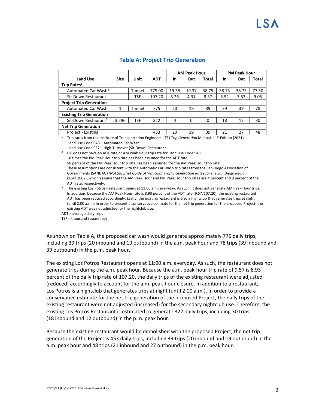|                                  |                                                                                                                          |        |            | <b>AM Peak Hour</b> |       | <b>PM Peak Hour</b> |       |       |       |  |
|----------------------------------|--------------------------------------------------------------------------------------------------------------------------|--------|------------|---------------------|-------|---------------------|-------|-------|-------|--|
| <b>Land Use</b>                  | <b>Size</b>                                                                                                              | Unit   | <b>ADT</b> | <b>In</b>           | Out   | Total               | In    | Out   | Total |  |
| Trip Rates <sup>1</sup>          |                                                                                                                          |        |            |                     |       |                     |       |       |       |  |
| Automated Car Wash <sup>2</sup>  |                                                                                                                          | Tunnel | 775.00     | 19.38               | 19.37 | 38.75               | 38.75 | 38.75 | 77.50 |  |
| Sit-Down Restaurant              |                                                                                                                          | TSF    | 107.20     | 5.26                | 4.31  | 9.57                | 5.52  | 3.53  | 9.05  |  |
| <b>Project Trip Generation</b>   |                                                                                                                          |        |            |                     |       |                     |       |       |       |  |
| <b>Automated Car Wash</b>        | 1                                                                                                                        | Tunnel | 775        | 20                  | 19    | 39                  | 39    | 39    | 78    |  |
| <b>Existing Trip Generation</b>  |                                                                                                                          |        |            |                     |       |                     |       |       |       |  |
| Sit-Down Restaurant <sup>3</sup> | 3.296                                                                                                                    | TSF    | 322        | 0                   | 0     | 0                   | 18    | 12    | 30    |  |
| <b>Net Trip Generation</b>       |                                                                                                                          |        |            |                     |       |                     |       |       |       |  |
| Project - Existing               |                                                                                                                          |        | 453        | 20                  | 19    | 39                  | 21    | 27    | 48    |  |
|                                  | Trip rates from the Institute of Transportation Engineers (ITE) Trip Generation Manual. 11 <sup>th</sup> Edition (2021). |        |            |                     |       |                     |       |       |       |  |

## **Table A: Project Trip Generation**

 Trip rates from the Institute of Transportation Engineers (ITE) *Trip Generation* Manual, 11th Edition (2021). Land Use Code 948 – Automated Car Wash

Land Use Code 932 – High‐Turnover (Sit‐Down) Restaurant

ITE does not have an ADT rate or AM Peak Hour trip rate for Land Use Code 948.

10 times the PM Peak Hour trip rate has been assumed for the ADT rate.

50 percent of the PM Peak Hour trip rate has been assumed for the AM Peak Hour trip rate.

 These assumptions are consistent with the Automatic Car Wash trip rates from the San Diego Association of Governments (SANDAG) *(Not So) Brief Guide of Vehicular Traffic Generation Rates for the San Diego Region* (April 2002), which assume that the AM Peak Hour and PM Peak Hour trip rates are 4 percent and 9 percent of the ADT rate, respectively.

3 The existing Los Potros Restaurant opens at 11:00 a.m. everyday. As such, it does not generate AM Peak Hour trips. In addition, because the AM Peak Hour rate is 8.93 percent of the ADT rate (9.57/107.20), the existing restaurant ADT has been reduced accordingly. Lastly, the existing restaurant is also a nightclub that generates trips at night (until 2:00 a.m.). In order to present a conservative estimate for the net trip generation for the proposed Project, the existing ADT was not adjusted for the nightclub use.

ADT = average daily trips

2

TSF = thousand square feet

As shown on Table A, the proposed car wash would generate approximately 775 daily trips, including 39 trips (20 inbound and 19 outbound) in the a.m. peak hour and 78 trips (39 inbound and 39 outbound) in the p.m. peak hour.

The existing Los Potros Restaurant opens at 11:00 a.m. everyday. As such, the restaurant does not generate trips during the a.m. peak hour. Because the a.m. peak‐hour trip rate of 9.57 is 8.93 percent of the daily trip rate of 107.20, the daily trips of the existing restaurant were adjusted (reduced) accordingly to account for the a.m. peak‐hour closure. In addition to a restaurant, Los Potros is a nightclub that generates trips at night (until 2:00 a.m.). In order to provide a conservative estimate for the net trip generation of the proposed Project, the daily trips of the existing restaurant were not adjusted (increased) for the secondary nightclub use. Therefore, the existing Los Potros Restaurant is estimated to generate 322 daily trips, including 30 trips (18 inbound and 12 outbound) in the p.m. peak hour.

Because the existing restaurant would be demolished with the proposed Project, the net trip generation of the Project is 453 daily trips, including 39 trips (20 inbound and 19 outbound) in the a.m. peak hour and 48 trips (21 inbound and 27 outbound) in the p.m. peak hour.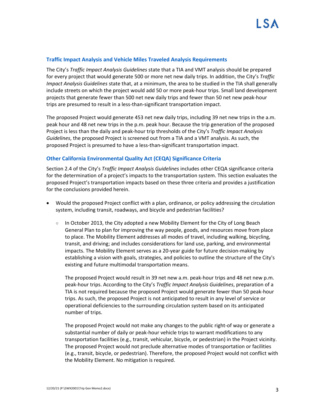#### **Traffic Impact Analysis and Vehicle Miles Traveled Analysis Requirements**

The City's *Traffic Impact Analysis Guidelines* state that a TIA and VMT analysis should be prepared for every project that would generate 500 or more net new daily trips. In addition, the City's *Traffic Impact Analysis Guidelines* state that, at a minimum, the area to be studied in the TIA shall generally include streets on which the project would add 50 or more peak‐hour trips. Small land development projects that generate fewer than 500 net new daily trips and fewer than 50 net new peak‐hour trips are presumed to result in a less‐than‐significant transportation impact.

The proposed Project would generate 453 net new daily trips, including 39 net new trips in the a.m. peak hour and 48 net new trips in the p.m. peak hour. Because the trip generation of the proposed Project is less than the daily and peak‐hour trip thresholds of the City's *Traffic Impact Analysis Guidelines*, the proposed Project is screened out from a TIA and a VMT analysis. As such, the proposed Project is presumed to have a less‐than‐significant transportation impact.

#### **Other California Environmental Quality Act (CEQA) Significance Criteria**

Section 2.4 of the City's *Traffic Impact Analysis Guidelines* includes other CEQA significance criteria for the determination of a project's impacts to the transportation system. This section evaluates the proposed Project's transportation impacts based on these three criteria and provides a justification for the conclusions provided herein.

- Would the proposed Project conflict with a plan, ordinance, or policy addressing the circulation system, including transit, roadways, and bicycle and pedestrian facilities?
	- $\circ$  In October 2013, the City adopted a new Mobility Element for the City of Long Beach General Plan to plan for improving the way people, goods, and resources move from place to place. The Mobility Element addresses all modes of travel, including walking, bicycling, transit, and driving; and includes considerations for land use, parking, and environmental impacts. The Mobility Element serves as a 20‐year guide for future decision‐making by establishing a vision with goals, strategies, and policies to outline the structure of the City's existing and future multimodal transportation means.

The proposed Project would result in 39 net new a.m. peak-hour trips and 48 net new p.m. peak‐hour trips. According to the City's *Traffic Impact Analysis Guidelines*, preparation of a TIA is not required because the proposed Project would generate fewer than 50 peak‐hour trips. As such, the proposed Project is not anticipated to result in any level of service or operational deficiencies to the surrounding circulation system based on its anticipated number of trips.

The proposed Project would not make any changes to the public right-of way or generate a substantial number of daily or peak‐hour vehicle trips to warrant modifications to any transportation facilities (e.g., transit, vehicular, bicycle, or pedestrian) in the Project vicinity. The proposed Project would not preclude alternative modes of transportation or facilities (e.g., transit, bicycle, or pedestrian). Therefore, the proposed Project would not conflict with the Mobility Element. No mitigation is required.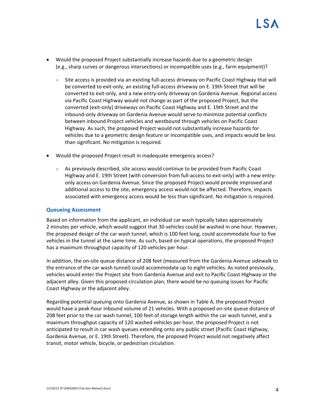- Would the proposed Project substantially increase hazards due to a geometric design (e.g., sharp curves or dangerous intersections) or incompatible uses (e.g., farm equipment)?
	- Site access is provided via an existing full‐access driveway on Pacific Coast Highway that will be converted to exit-only, an existing full-access driveway on E. 19th Street that will be converted to exit‐only, and a new entry‐only driveway on Gardenia Avenue. Regional access via Pacific Coast Highway would not change as part of the proposed Project, but the converted (exit-only) driveways on Pacific Coast Highway and E. 19th Street and the inbound‐only driveway on Gardenia Avenue would serve to minimize potential conflicts between inbound Project vehicles and westbound through vehicles on Pacific Coast Highway. As such, the proposed Project would not substantially increase hazards for vehicles due to a geometric design feature or incompatible uses, and impacts would be less than significant. No mitigation is required.
- Would the proposed Project result in inadequate emergency access?
	- $\circ$  As previously described, site access would continue to be provided from Pacific Coast Highway and E. 19th Street (with conversion from full-access to exit-only) with a new entryonly access on Gardenia Avenue. Since the proposed Project would provide improved and additional access to the site, emergency access would not be affected. Therefore, impacts associated with emergency access would be less than significant. No mitigation is required.

#### **Queueing Assessment**

Based on information from the applicant, an individual car wash typically takes approximately 2 minutes per vehicle, which would suggest that 30 vehicles could be washed in one hour. However, the proposed design of the car wash tunnel, which is 100 feet long, could accommodate four to five vehicles in the tunnel at the same time. As such, based on typical operations, the proposed Project has a maximum throughput capacity of 120 vehicles per hour.

In addition, the on‐site queue distance of 208 feet (measured from the Gardenia Avenue sidewalk to the entrance of the car wash tunnel) could accommodate up to eight vehicles. As noted previously, vehicles would enter the Project site from Gardenia Avenue and exit to Pacific Coast Highway or the adjacent alley. Given this proposed circulation plan, there would be no queuing issues for Pacific Coast Highway or the adjacent alley.

Regarding potential queuing onto Gardenia Avenue, as shown in Table A, the proposed Project would have a peak‐hour inbound volume of 21 vehicles. With a proposed on‐site queue distance of 208 feet prior to the car wash tunnel, 100 feet of storage length within the car wash tunnel, and a maximum throughput capacity of 120 washed vehicles per hour, the proposed Project is not anticipated to result in car wash queues extending onto any public street (Pacific Coast Highway, Gardenia Avenue, or E. 19th Street). Therefore, the proposed Project would not negatively affect transit, motor vehicle, bicycle, or pedestrian circulation.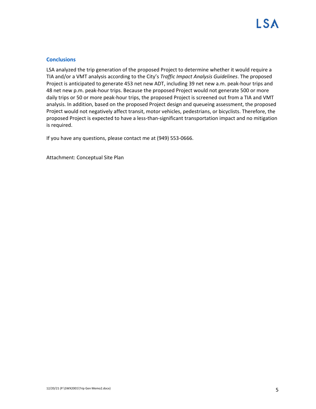### **Conclusions**

LSA analyzed the trip generation of the proposed Project to determine whether it would require a TIA and/or a VMT analysis according to the City's *Traffic Impact Analysis Guidelines*. The proposed Project is anticipated to generate 453 net new ADT, including 39 net new a.m. peak‐hour trips and 48 net new p.m. peak-hour trips. Because the proposed Project would not generate 500 or more daily trips or 50 or more peak‐hour trips, the proposed Project is screened out from a TIA and VMT analysis. In addition, based on the proposed Project design and queueing assessment, the proposed Project would not negatively affect transit, motor vehicles, pedestrians, or bicyclists. Therefore, the proposed Project is expected to have a less‐than‐significant transportation impact and no mitigation is required.

If you have any questions, please contact me at (949) 553‐0666.

Attachment: Conceptual Site Plan